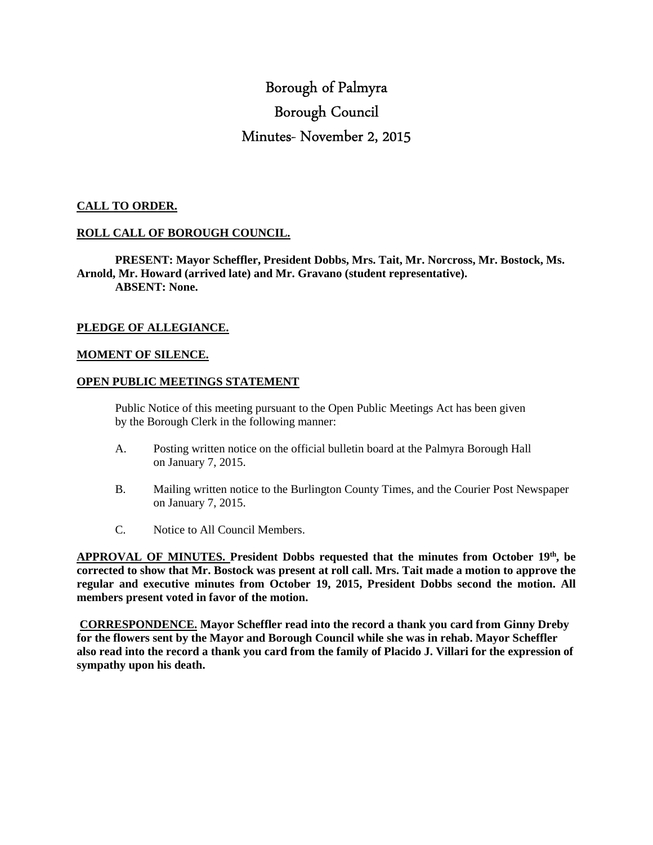# Borough of Palmyra Borough Council Minutes- November 2, 2015

### **CALL TO ORDER.**

# **ROLL CALL OF BOROUGH COUNCIL.**

 **PRESENT: Mayor Scheffler, President Dobbs, Mrs. Tait, Mr. Norcross, Mr. Bostock, Ms. Arnold, Mr. Howard (arrived late) and Mr. Gravano (student representative). ABSENT: None.** 

# **PLEDGE OF ALLEGIANCE.**

#### **MOMENT OF SILENCE.**

#### **OPEN PUBLIC MEETINGS STATEMENT**

 Public Notice of this meeting pursuant to the Open Public Meetings Act has been given by the Borough Clerk in the following manner:

- A. Posting written notice on the official bulletin board at the Palmyra Borough Hall on January 7, 2015.
- B. Mailing written notice to the Burlington County Times, and the Courier Post Newspaper on January 7, 2015.
- C. Notice to All Council Members.

**APPROVAL OF MINUTES. President Dobbs requested that the minutes from October 19th, be corrected to show that Mr. Bostock was present at roll call. Mrs. Tait made a motion to approve the regular and executive minutes from October 19, 2015, President Dobbs second the motion. All members present voted in favor of the motion.** 

 **CORRESPONDENCE. Mayor Scheffler read into the record a thank you card from Ginny Dreby for the flowers sent by the Mayor and Borough Council while she was in rehab. Mayor Scheffler also read into the record a thank you card from the family of Placido J. Villari for the expression of sympathy upon his death.**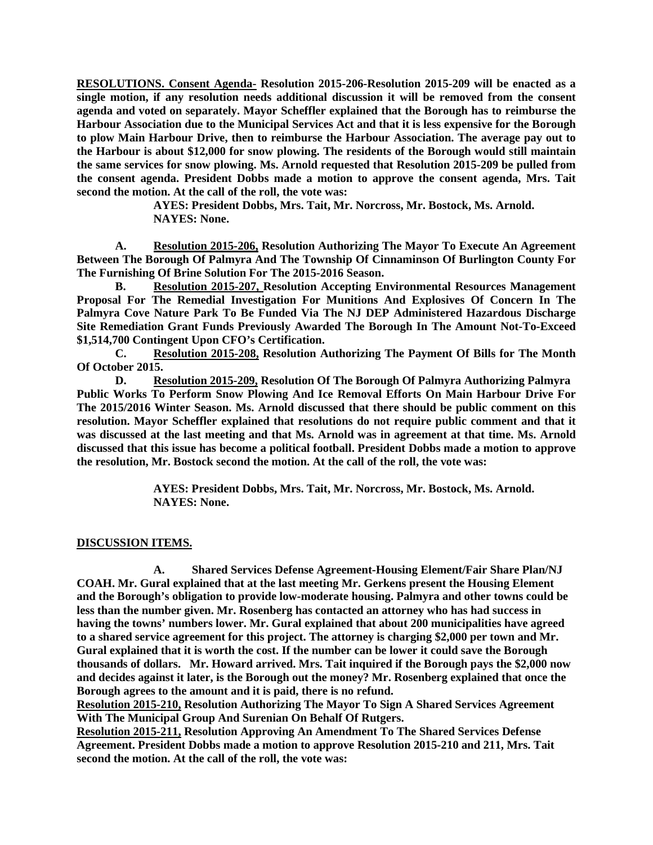**RESOLUTIONS. Consent Agenda- Resolution 2015-206-Resolution 2015-209 will be enacted as a single motion, if any resolution needs additional discussion it will be removed from the consent agenda and voted on separately. Mayor Scheffler explained that the Borough has to reimburse the Harbour Association due to the Municipal Services Act and that it is less expensive for the Borough to plow Main Harbour Drive, then to reimburse the Harbour Association. The average pay out to the Harbour is about \$12,000 for snow plowing. The residents of the Borough would still maintain the same services for snow plowing. Ms. Arnold requested that Resolution 2015-209 be pulled from the consent agenda. President Dobbs made a motion to approve the consent agenda, Mrs. Tait second the motion. At the call of the roll, the vote was:** 

> **AYES: President Dobbs, Mrs. Tait, Mr. Norcross, Mr. Bostock, Ms. Arnold. NAYES: None.**

 **A. Resolution 2015-206, Resolution Authorizing The Mayor To Execute An Agreement Between The Borough Of Palmyra And The Township Of Cinnaminson Of Burlington County For The Furnishing Of Brine Solution For The 2015-2016 Season.** 

 **B. Resolution 2015-207, Resolution Accepting Environmental Resources Management Proposal For The Remedial Investigation For Munitions And Explosives Of Concern In The Palmyra Cove Nature Park To Be Funded Via The NJ DEP Administered Hazardous Discharge Site Remediation Grant Funds Previously Awarded The Borough In The Amount Not-To-Exceed \$1,514,700 Contingent Upon CFO's Certification.** 

 **C. Resolution 2015-208, Resolution Authorizing The Payment Of Bills for The Month Of October 2015.** 

**D. Resolution 2015-209, Resolution Of The Borough Of Palmyra Authorizing Palmyra Public Works To Perform Snow Plowing And Ice Removal Efforts On Main Harbour Drive For The 2015/2016 Winter Season. Ms. Arnold discussed that there should be public comment on this resolution. Mayor Scheffler explained that resolutions do not require public comment and that it was discussed at the last meeting and that Ms. Arnold was in agreement at that time. Ms. Arnold discussed that this issue has become a political football. President Dobbs made a motion to approve the resolution, Mr. Bostock second the motion. At the call of the roll, the vote was:** 

> **AYES: President Dobbs, Mrs. Tait, Mr. Norcross, Mr. Bostock, Ms. Arnold. NAYES: None.**

#### **DISCUSSION ITEMS.**

**A. Shared Services Defense Agreement-Housing Element/Fair Share Plan/NJ COAH. Mr. Gural explained that at the last meeting Mr. Gerkens present the Housing Element and the Borough's obligation to provide low-moderate housing. Palmyra and other towns could be less than the number given. Mr. Rosenberg has contacted an attorney who has had success in having the towns' numbers lower. Mr. Gural explained that about 200 municipalities have agreed to a shared service agreement for this project. The attorney is charging \$2,000 per town and Mr. Gural explained that it is worth the cost. If the number can be lower it could save the Borough thousands of dollars. Mr. Howard arrived. Mrs. Tait inquired if the Borough pays the \$2,000 now and decides against it later, is the Borough out the money? Mr. Rosenberg explained that once the Borough agrees to the amount and it is paid, there is no refund.** 

**Resolution 2015-210, Resolution Authorizing The Mayor To Sign A Shared Services Agreement With The Municipal Group And Surenian On Behalf Of Rutgers.** 

**Resolution 2015-211, Resolution Approving An Amendment To The Shared Services Defense Agreement. President Dobbs made a motion to approve Resolution 2015-210 and 211, Mrs. Tait second the motion. At the call of the roll, the vote was:**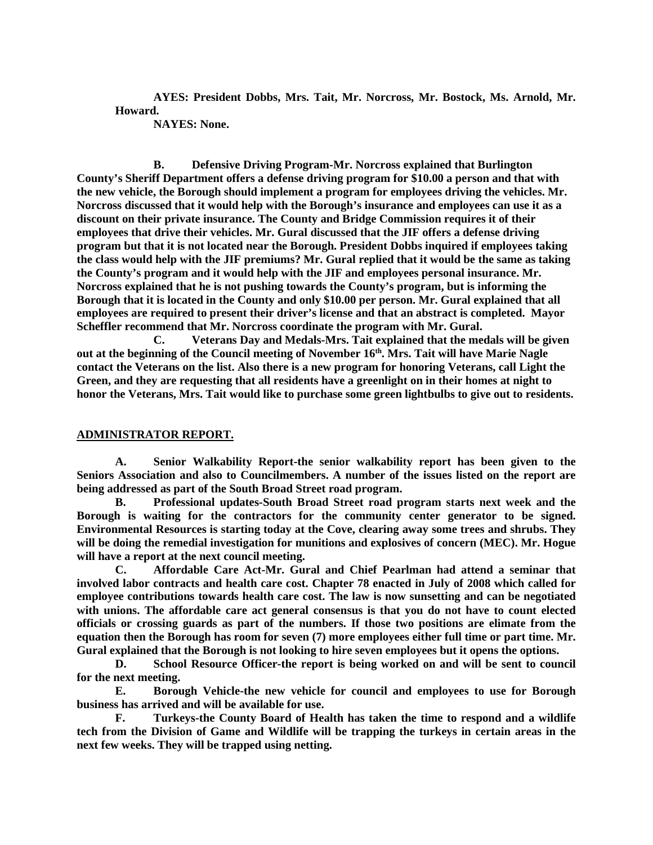**AYES: President Dobbs, Mrs. Tait, Mr. Norcross, Mr. Bostock, Ms. Arnold, Mr. Howard.** 

 **NAYES: None.** 

**B. Defensive Driving Program-Mr. Norcross explained that Burlington County's Sheriff Department offers a defense driving program for \$10.00 a person and that with the new vehicle, the Borough should implement a program for employees driving the vehicles. Mr. Norcross discussed that it would help with the Borough's insurance and employees can use it as a discount on their private insurance. The County and Bridge Commission requires it of their employees that drive their vehicles. Mr. Gural discussed that the JIF offers a defense driving program but that it is not located near the Borough. President Dobbs inquired if employees taking the class would help with the JIF premiums? Mr. Gural replied that it would be the same as taking the County's program and it would help with the JIF and employees personal insurance. Mr. Norcross explained that he is not pushing towards the County's program, but is informing the Borough that it is located in the County and only \$10.00 per person. Mr. Gural explained that all employees are required to present their driver's license and that an abstract is completed. Mayor Scheffler recommend that Mr. Norcross coordinate the program with Mr. Gural.** 

 **C. Veterans Day and Medals-Mrs. Tait explained that the medals will be given out at the beginning of the Council meeting of November 16th. Mrs. Tait will have Marie Nagle contact the Veterans on the list. Also there is a new program for honoring Veterans, call Light the Green, and they are requesting that all residents have a greenlight on in their homes at night to honor the Veterans, Mrs. Tait would like to purchase some green lightbulbs to give out to residents.** 

#### **ADMINISTRATOR REPORT.**

 **A. Senior Walkability Report-the senior walkability report has been given to the Seniors Association and also to Councilmembers. A number of the issues listed on the report are being addressed as part of the South Broad Street road program.** 

 **B. Professional updates-South Broad Street road program starts next week and the Borough is waiting for the contractors for the community center generator to be signed. Environmental Resources is starting today at the Cove, clearing away some trees and shrubs. They will be doing the remedial investigation for munitions and explosives of concern (MEC). Mr. Hogue will have a report at the next council meeting.** 

 **C. Affordable Care Act-Mr. Gural and Chief Pearlman had attend a seminar that involved labor contracts and health care cost. Chapter 78 enacted in July of 2008 which called for employee contributions towards health care cost. The law is now sunsetting and can be negotiated with unions. The affordable care act general consensus is that you do not have to count elected officials or crossing guards as part of the numbers. If those two positions are elimate from the equation then the Borough has room for seven (7) more employees either full time or part time. Mr. Gural explained that the Borough is not looking to hire seven employees but it opens the options.** 

 **D. School Resource Officer-the report is being worked on and will be sent to council for the next meeting.** 

 **E. Borough Vehicle-the new vehicle for council and employees to use for Borough business has arrived and will be available for use.** 

 **F. Turkeys-the County Board of Health has taken the time to respond and a wildlife tech from the Division of Game and Wildlife will be trapping the turkeys in certain areas in the next few weeks. They will be trapped using netting.**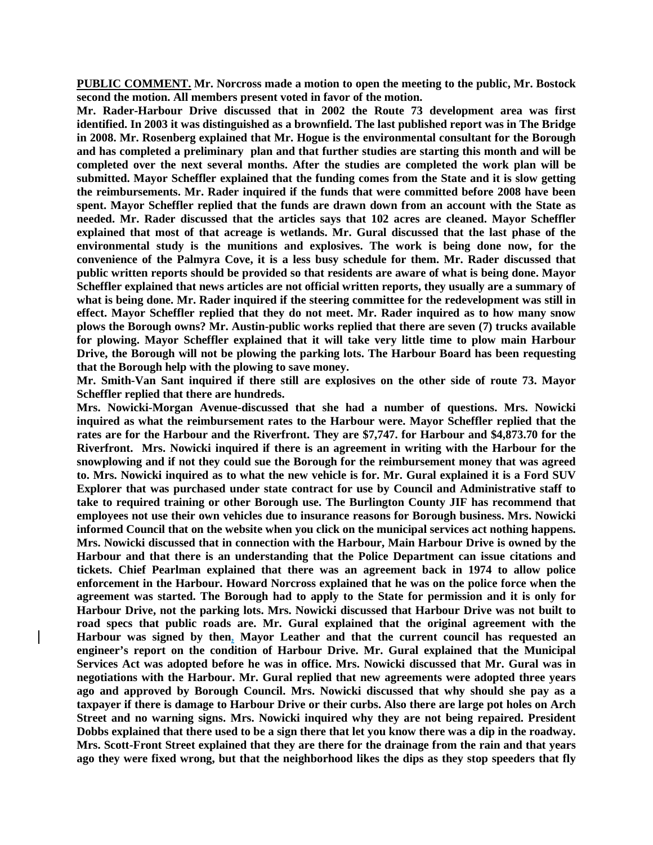**PUBLIC COMMENT. Mr. Norcross made a motion to open the meeting to the public, Mr. Bostock second the motion. All members present voted in favor of the motion.** 

**Mr. Rader-Harbour Drive discussed that in 2002 the Route 73 development area was first identified. In 2003 it was distinguished as a brownfield. The last published report was in The Bridge in 2008. Mr. Rosenberg explained that Mr. Hogue is the environmental consultant for the Borough and has completed a preliminary plan and that further studies are starting this month and will be completed over the next several months. After the studies are completed the work plan will be submitted. Mayor Scheffler explained that the funding comes from the State and it is slow getting the reimbursements. Mr. Rader inquired if the funds that were committed before 2008 have been spent. Mayor Scheffler replied that the funds are drawn down from an account with the State as needed. Mr. Rader discussed that the articles says that 102 acres are cleaned. Mayor Scheffler explained that most of that acreage is wetlands. Mr. Gural discussed that the last phase of the environmental study is the munitions and explosives. The work is being done now, for the convenience of the Palmyra Cove, it is a less busy schedule for them. Mr. Rader discussed that public written reports should be provided so that residents are aware of what is being done. Mayor Scheffler explained that news articles are not official written reports, they usually are a summary of what is being done. Mr. Rader inquired if the steering committee for the redevelopment was still in effect. Mayor Scheffler replied that they do not meet. Mr. Rader inquired as to how many snow plows the Borough owns? Mr. Austin-public works replied that there are seven (7) trucks available for plowing. Mayor Scheffler explained that it will take very little time to plow main Harbour Drive, the Borough will not be plowing the parking lots. The Harbour Board has been requesting that the Borough help with the plowing to save money.** 

**Mr. Smith-Van Sant inquired if there still are explosives on the other side of route 73. Mayor Scheffler replied that there are hundreds.** 

**Mrs. Nowicki-Morgan Avenue-discussed that she had a number of questions. Mrs. Nowicki inquired as what the reimbursement rates to the Harbour were. Mayor Scheffler replied that the rates are for the Harbour and the Riverfront. They are \$7,747. for Harbour and \$4,873.70 for the Riverfront. Mrs. Nowicki inquired if there is an agreement in writing with the Harbour for the snowplowing and if not they could sue the Borough for the reimbursement money that was agreed to. Mrs. Nowicki inquired as to what the new vehicle is for. Mr. Gural explained it is a Ford SUV Explorer that was purchased under state contract for use by Council and Administrative staff to take to required training or other Borough use. The Burlington County JIF has recommend that employees not use their own vehicles due to insurance reasons for Borough business. Mrs. Nowicki informed Council that on the website when you click on the municipal services act nothing happens. Mrs. Nowicki discussed that in connection with the Harbour, Main Harbour Drive is owned by the Harbour and that there is an understanding that the Police Department can issue citations and tickets. Chief Pearlman explained that there was an agreement back in 1974 to allow police enforcement in the Harbour. Howard Norcross explained that he was on the police force when the agreement was started. The Borough had to apply to the State for permission and it is only for Harbour Drive, not the parking lots. Mrs. Nowicki discussed that Harbour Drive was not built to road specs that public roads are. Mr. Gural explained that the original agreement with the Harbour was signed by then, Mayor Leather and that the current council has requested an engineer's report on the condition of Harbour Drive. Mr. Gural explained that the Municipal Services Act was adopted before he was in office. Mrs. Nowicki discussed that Mr. Gural was in negotiations with the Harbour. Mr. Gural replied that new agreements were adopted three years ago and approved by Borough Council. Mrs. Nowicki discussed that why should she pay as a taxpayer if there is damage to Harbour Drive or their curbs. Also there are large pot holes on Arch Street and no warning signs. Mrs. Nowicki inquired why they are not being repaired. President Dobbs explained that there used to be a sign there that let you know there was a dip in the roadway. Mrs. Scott-Front Street explained that they are there for the drainage from the rain and that years ago they were fixed wrong, but that the neighborhood likes the dips as they stop speeders that fly**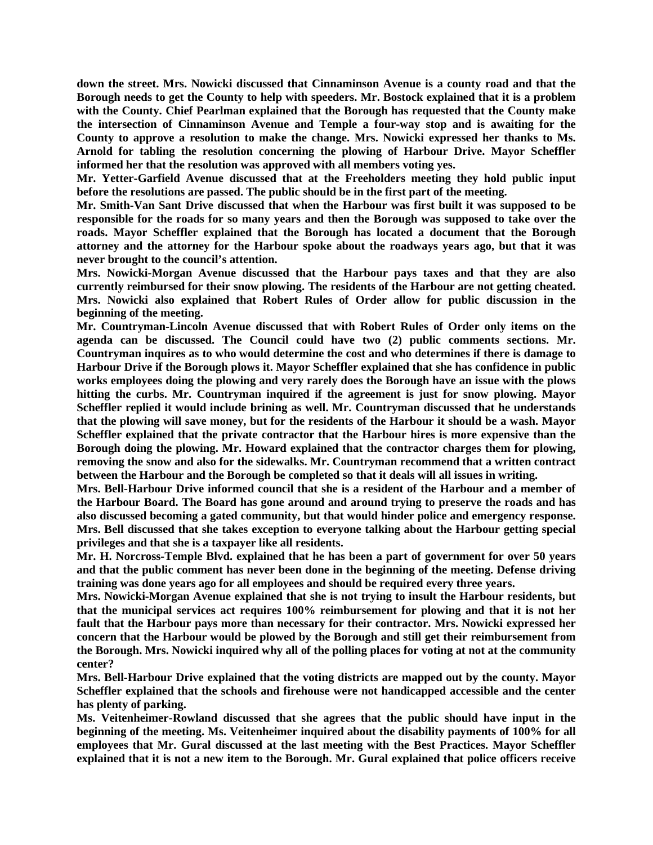**down the street. Mrs. Nowicki discussed that Cinnaminson Avenue is a county road and that the Borough needs to get the County to help with speeders. Mr. Bostock explained that it is a problem with the County. Chief Pearlman explained that the Borough has requested that the County make the intersection of Cinnaminson Avenue and Temple a four-way stop and is awaiting for the County to approve a resolution to make the change. Mrs. Nowicki expressed her thanks to Ms. Arnold for tabling the resolution concerning the plowing of Harbour Drive. Mayor Scheffler informed her that the resolution was approved with all members voting yes.** 

**Mr. Yetter-Garfield Avenue discussed that at the Freeholders meeting they hold public input before the resolutions are passed. The public should be in the first part of the meeting.** 

**Mr. Smith-Van Sant Drive discussed that when the Harbour was first built it was supposed to be responsible for the roads for so many years and then the Borough was supposed to take over the roads. Mayor Scheffler explained that the Borough has located a document that the Borough attorney and the attorney for the Harbour spoke about the roadways years ago, but that it was never brought to the council's attention.** 

**Mrs. Nowicki-Morgan Avenue discussed that the Harbour pays taxes and that they are also currently reimbursed for their snow plowing. The residents of the Harbour are not getting cheated. Mrs. Nowicki also explained that Robert Rules of Order allow for public discussion in the beginning of the meeting.** 

**Mr. Countryman-Lincoln Avenue discussed that with Robert Rules of Order only items on the agenda can be discussed. The Council could have two (2) public comments sections. Mr. Countryman inquires as to who would determine the cost and who determines if there is damage to Harbour Drive if the Borough plows it. Mayor Scheffler explained that she has confidence in public works employees doing the plowing and very rarely does the Borough have an issue with the plows hitting the curbs. Mr. Countryman inquired if the agreement is just for snow plowing. Mayor Scheffler replied it would include brining as well. Mr. Countryman discussed that he understands that the plowing will save money, but for the residents of the Harbour it should be a wash. Mayor Scheffler explained that the private contractor that the Harbour hires is more expensive than the Borough doing the plowing. Mr. Howard explained that the contractor charges them for plowing, removing the snow and also for the sidewalks. Mr. Countryman recommend that a written contract between the Harbour and the Borough be completed so that it deals will all issues in writing.** 

**Mrs. Bell-Harbour Drive informed council that she is a resident of the Harbour and a member of the Harbour Board. The Board has gone around and around trying to preserve the roads and has also discussed becoming a gated community, but that would hinder police and emergency response. Mrs. Bell discussed that she takes exception to everyone talking about the Harbour getting special privileges and that she is a taxpayer like all residents.** 

**Mr. H. Norcross-Temple Blvd. explained that he has been a part of government for over 50 years and that the public comment has never been done in the beginning of the meeting. Defense driving training was done years ago for all employees and should be required every three years.** 

**Mrs. Nowicki-Morgan Avenue explained that she is not trying to insult the Harbour residents, but that the municipal services act requires 100% reimbursement for plowing and that it is not her fault that the Harbour pays more than necessary for their contractor. Mrs. Nowicki expressed her concern that the Harbour would be plowed by the Borough and still get their reimbursement from the Borough. Mrs. Nowicki inquired why all of the polling places for voting at not at the community center?** 

**Mrs. Bell-Harbour Drive explained that the voting districts are mapped out by the county. Mayor Scheffler explained that the schools and firehouse were not handicapped accessible and the center has plenty of parking.** 

**Ms. Veitenheimer-Rowland discussed that she agrees that the public should have input in the beginning of the meeting. Ms. Veitenheimer inquired about the disability payments of 100% for all employees that Mr. Gural discussed at the last meeting with the Best Practices. Mayor Scheffler explained that it is not a new item to the Borough. Mr. Gural explained that police officers receive**